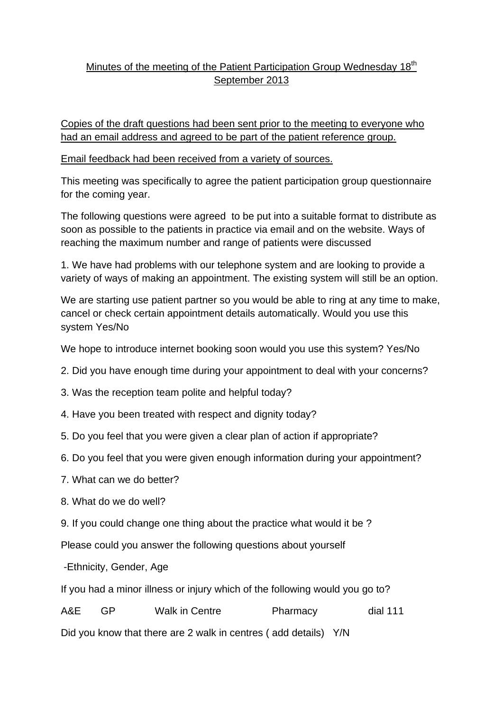## Minutes of the meeting of the Patient Participation Group Wednesday 18<sup>th</sup> September 2013

Copies of the draft questions had been sent prior to the meeting to everyone who had an email address and agreed to be part of the patient reference group.

## Email feedback had been received from a variety of sources.

This meeting was specifically to agree the patient participation group questionnaire for the coming year.

The following questions were agreed to be put into a suitable format to distribute as soon as possible to the patients in practice via email and on the website. Ways of reaching the maximum number and range of patients were discussed

1. We have had problems with our telephone system and are looking to provide a variety of ways of making an appointment. The existing system will still be an option.

We are starting use patient partner so you would be able to ring at any time to make, cancel or check certain appointment details automatically. Would you use this system Yes/No

We hope to introduce internet booking soon would you use this system? Yes/No

- 2. Did you have enough time during your appointment to deal with your concerns?
- 3. Was the reception team polite and helpful today?
- 4. Have you been treated with respect and dignity today?
- 5. Do you feel that you were given a clear plan of action if appropriate?
- 6. Do you feel that you were given enough information during your appointment?
- 7. What can we do better?
- 8. What do we do well?
- 9. If you could change one thing about the practice what would it be ?

Please could you answer the following questions about yourself

-Ethnicity, Gender, Age

If you had a minor illness or injury which of the following would you go to?

A&E GP Walk in Centre Pharmacy dial 111

Did you know that there are 2 walk in centres ( add details) Y/N